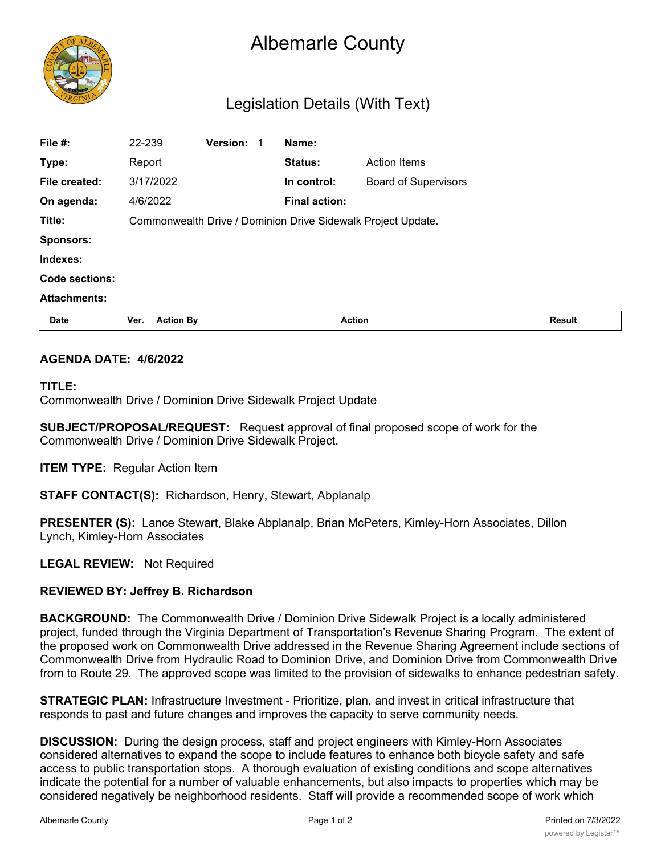

# Albemarle County

# Legislation Details (With Text)

| File #:             | 22-239                                                       | Version: | Name:                |                             |               |
|---------------------|--------------------------------------------------------------|----------|----------------------|-----------------------------|---------------|
| Type:               | Report                                                       |          | <b>Status:</b>       | <b>Action Items</b>         |               |
| File created:       | 3/17/2022                                                    |          | In control:          | <b>Board of Supervisors</b> |               |
| On agenda:          | 4/6/2022                                                     |          | <b>Final action:</b> |                             |               |
| Title:              | Commonwealth Drive / Dominion Drive Sidewalk Project Update. |          |                      |                             |               |
| <b>Sponsors:</b>    |                                                              |          |                      |                             |               |
| Indexes:            |                                                              |          |                      |                             |               |
| Code sections:      |                                                              |          |                      |                             |               |
| <b>Attachments:</b> |                                                              |          |                      |                             |               |
| <b>Date</b>         | <b>Action By</b><br>Ver.                                     |          | <b>Action</b>        |                             | <b>Result</b> |

### **AGENDA DATE: 4/6/2022**

#### **TITLE:**

Commonwealth Drive / Dominion Drive Sidewalk Project Update

**SUBJECT/PROPOSAL/REQUEST:** Request approval of final proposed scope of work for the Commonwealth Drive / Dominion Drive Sidewalk Project.

**ITEM TYPE:** Regular Action Item

**STAFF CONTACT(S):** Richardson, Henry, Stewart, Abplanalp

**PRESENTER (S):** Lance Stewart, Blake Abplanalp, Brian McPeters, Kimley-Horn Associates, Dillon Lynch, Kimley-Horn Associates

**LEGAL REVIEW:** Not Required

## **REVIEWED BY: Jeffrey B. Richardson**

**BACKGROUND:** The Commonwealth Drive / Dominion Drive Sidewalk Project is a locally administered project, funded through the Virginia Department of Transportation's Revenue Sharing Program. The extent of the proposed work on Commonwealth Drive addressed in the Revenue Sharing Agreement include sections of Commonwealth Drive from Hydraulic Road to Dominion Drive, and Dominion Drive from Commonwealth Drive from to Route 29. The approved scope was limited to the provision of sidewalks to enhance pedestrian safety.

**STRATEGIC PLAN:** Infrastructure Investment - Prioritize, plan, and invest in critical infrastructure that responds to past and future changes and improves the capacity to serve community needs.

**DISCUSSION:** During the design process, staff and project engineers with Kimley-Horn Associates considered alternatives to expand the scope to include features to enhance both bicycle safety and safe access to public transportation stops. A thorough evaluation of existing conditions and scope alternatives indicate the potential for a number of valuable enhancements, but also impacts to properties which may be considered negatively be neighborhood residents. Staff will provide a recommended scope of work which